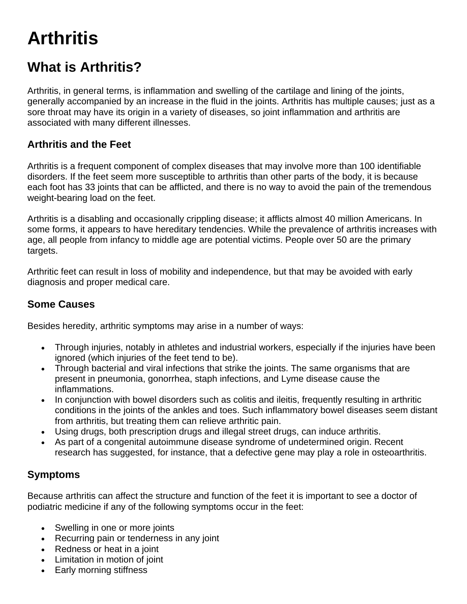# **Arthritis**

# **What is Arthritis?**

Arthritis, in general terms, is inflammation and swelling of the cartilage and lining of the joints, generally accompanied by an increase in the fluid in the joints. Arthritis has multiple causes; just as a sore throat may have its origin in a variety of diseases, so joint inflammation and arthritis are associated with many different illnesses.

# **Arthritis and the Feet**

Arthritis is a frequent component of complex diseases that may involve more than 100 identifiable disorders. If the feet seem more susceptible to arthritis than other parts of the body, it is because each foot has 33 joints that can be afflicted, and there is no way to avoid the pain of the tremendous weight-bearing load on the feet.

Arthritis is a disabling and occasionally crippling disease; it afflicts almost 40 million Americans. In some forms, it appears to have hereditary tendencies. While the prevalence of arthritis increases with age, all people from infancy to middle age are potential victims. People over 50 are the primary targets.

Arthritic feet can result in loss of mobility and independence, but that may be avoided with early diagnosis and proper medical care.

### **Some Causes**

Besides heredity, arthritic symptoms may arise in a number of ways:

- Through injuries, notably in athletes and industrial workers, especially if the injuries have been ignored (which injuries of the feet tend to be).
- Through bacterial and viral infections that strike the joints. The same organisms that are present in pneumonia, gonorrhea, staph infections, and Lyme disease cause the inflammations.
- In conjunction with bowel disorders such as colitis and ileitis, frequently resulting in arthritic conditions in the joints of the ankles and toes. Such inflammatory bowel diseases seem distant from arthritis, but treating them can relieve arthritic pain.
- Using drugs, both prescription drugs and illegal street drugs, can induce arthritis.
- As part of a congenital autoimmune disease syndrome of undetermined origin. Recent research has suggested, for instance, that a defective gene may play a role in osteoarthritis.

# **Symptoms**

Because arthritis can affect the structure and function of the feet it is important to see a doctor of podiatric medicine if any of the following symptoms occur in the feet:

- Swelling in one or more joints
- Recurring pain or tenderness in any joint
- Redness or heat in a joint
- Limitation in motion of joint
- Early morning stiffness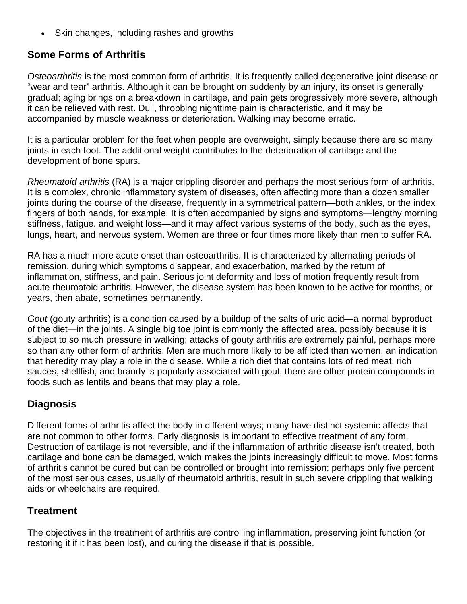Skin changes, including rashes and growths

## **Some Forms of Arthritis**

*Osteoarthritis* is the most common form of arthritis. It is frequently called degenerative joint disease or "wear and tear" arthritis. Although it can be brought on suddenly by an injury, its onset is generally gradual; aging brings on a breakdown in cartilage, and pain gets progressively more severe, although it can be relieved with rest. Dull, throbbing nighttime pain is characteristic, and it may be accompanied by muscle weakness or deterioration. Walking may become erratic.

It is a particular problem for the feet when people are overweight, simply because there are so many joints in each foot. The additional weight contributes to the deterioration of cartilage and the development of bone spurs.

*Rheumatoid arthritis* (RA) is a major crippling disorder and perhaps the most serious form of arthritis. It is a complex, chronic inflammatory system of diseases, often affecting more than a dozen smaller joints during the course of the disease, frequently in a symmetrical pattern—both ankles, or the index fingers of both hands, for example. It is often accompanied by signs and symptoms—lengthy morning stiffness, fatigue, and weight loss—and it may affect various systems of the body, such as the eyes, lungs, heart, and nervous system. Women are three or four times more likely than men to suffer RA.

RA has a much more acute onset than osteoarthritis. It is characterized by alternating periods of remission, during which symptoms disappear, and exacerbation, marked by the return of inflammation, stiffness, and pain. Serious joint deformity and loss of motion frequently result from acute rheumatoid arthritis. However, the disease system has been known to be active for months, or years, then abate, sometimes permanently.

*Gout* (gouty arthritis) is a condition caused by a buildup of the salts of uric acid—a normal byproduct of the diet—in the joints. A single big toe joint is commonly the affected area, possibly because it is subject to so much pressure in walking; attacks of gouty arthritis are extremely painful, perhaps more so than any other form of arthritis. Men are much more likely to be afflicted than women, an indication that heredity may play a role in the disease. While a rich diet that contains lots of red meat, rich sauces, shellfish, and brandy is popularly associated with gout, there are other protein compounds in foods such as lentils and beans that may play a role.

### **Diagnosis**

Different forms of arthritis affect the body in different ways; many have distinct systemic affects that are not common to other forms. Early diagnosis is important to effective treatment of any form. Destruction of cartilage is not reversible, and if the inflammation of arthritic disease isn't treated, both cartilage and bone can be damaged, which makes the joints increasingly difficult to move. Most forms of arthritis cannot be cured but can be controlled or brought into remission; perhaps only five percent of the most serious cases, usually of rheumatoid arthritis, result in such severe crippling that walking aids or wheelchairs are required.

### **Treatment**

The objectives in the treatment of arthritis are controlling inflammation, preserving joint function (or restoring it if it has been lost), and curing the disease if that is possible.